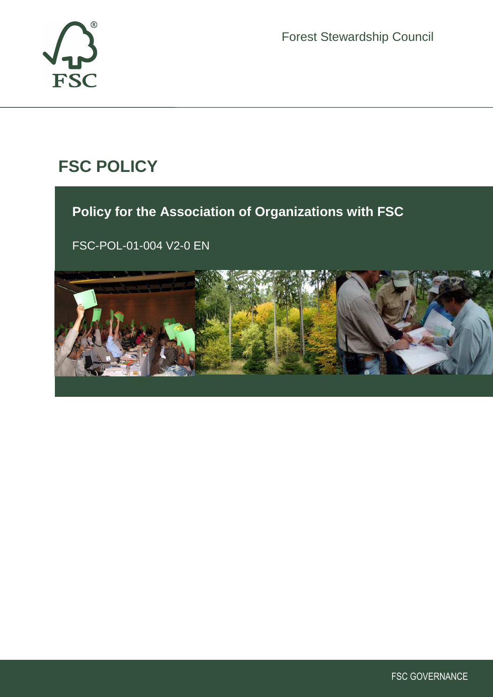



# **FSC POLICY**

# **Policy for the Association of Organizations with FSC**

FSC-POL-01-004 V2-0 EN



ī

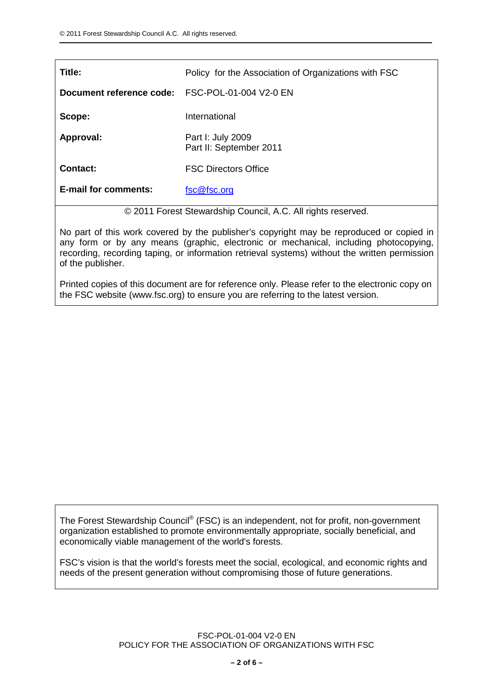| Title:                                                     | Policy for the Association of Organizations with FSC |
|------------------------------------------------------------|------------------------------------------------------|
| Document reference code:                                   | FSC-POL-01-004 V2-0 EN                               |
| Scope:                                                     | International                                        |
| Approval:                                                  | Part I: July 2009<br>Part II: September 2011         |
| <b>Contact:</b>                                            | <b>FSC Directors Office</b>                          |
| <b>E-mail for comments:</b>                                | fsc@fsc.org                                          |
| @ 2011 Forgot Ctowardship Council A.C. All rights reserved |                                                      |

© 2011 Forest Stewardship Council, A.C. All rights reserved.

No part of this work covered by the publisher's copyright may be reproduced or copied in any form or by any means (graphic, electronic or mechanical, including photocopying, recording, recording taping, or information retrieval systems) without the written permission of the publisher.

Printed copies of this document are for reference only. Please refer to the electronic copy on the FSC website (www.fsc.org) to ensure you are referring to the latest version.

The Forest Stewardship Council® (FSC) is an independent, not for profit, non-government organization established to promote environmentally appropriate, socially beneficial, and economically viable management of the world's forests.

FSC's vision is that the world's forests meet the social, ecological, and economic rights and needs of the present generation without compromising those of future generations.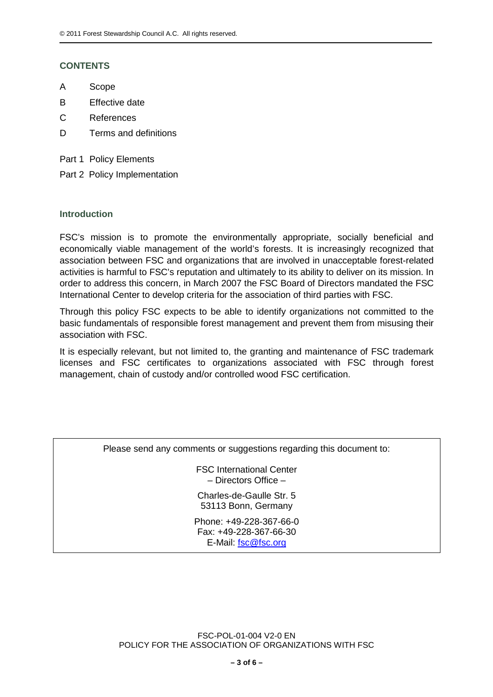# **CONTENTS**

- A Scope
- B Effective date
- C References
- D Terms and definitions
- Part 1 Policy Elements
- Part 2 Policy Implementation

#### **Introduction**

FSC's mission is to promote the environmentally appropriate, socially beneficial and economically viable management of the world's forests. It is increasingly recognized that association between FSC and organizations that are involved in unacceptable forest-related activities is harmful to FSC's reputation and ultimately to its ability to deliver on its mission. In order to address this concern, in March 2007 the FSC Board of Directors mandated the FSC International Center to develop criteria for the association of third parties with FSC.

Through this policy FSC expects to be able to identify organizations not committed to the basic fundamentals of responsible forest management and prevent them from misusing their association with FSC.

It is especially relevant, but not limited to, the granting and maintenance of FSC trademark licenses and FSC certificates to organizations associated with FSC through forest management, chain of custody and/or controlled wood FSC certification.

Please send any comments or suggestions regarding this document to:

FSC International Center – Directors Office –

Charles-de-Gaulle Str. 5 53113 Bonn, Germany

Phone: +49-228-367-66-0 Fax: +49-228-367-66-30 E-Mail: fsc@fsc.org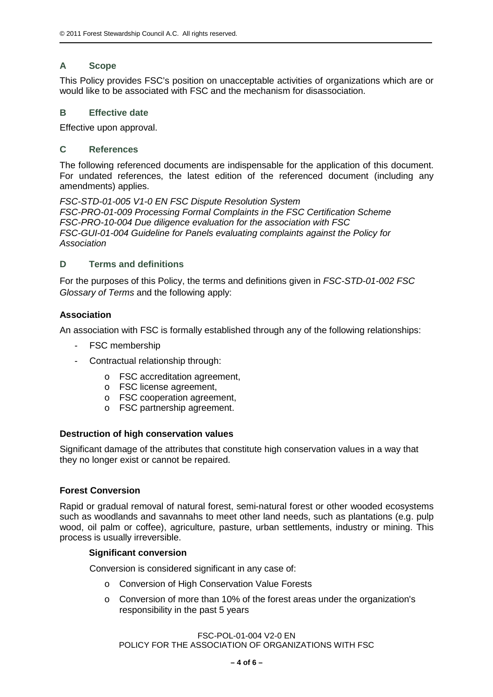# **A Scope**

This Policy provides FSC's position on unacceptable activities of organizations which are or would like to be associated with FSC and the mechanism for disassociation.

# **B Effective date**

Effective upon approval.

# **C References**

The following referenced documents are indispensable for the application of this document. For undated references, the latest edition of the referenced document (including any amendments) applies.

FSC-STD-01-005 V1-0 EN FSC Dispute Resolution System FSC-PRO-01-009 Processing Formal Complaints in the FSC Certification Scheme FSC-PRO-10-004 Due diligence evaluation for the association with FSC FSC-GUI-01-004 Guideline for Panels evaluating complaints against the Policy for Association

## **D Terms and definitions**

For the purposes of this Policy, the terms and definitions given in FSC-STD-01-002 FSC Glossary of Terms and the following apply:

## **Association**

An association with FSC is formally established through any of the following relationships:

- FSC membership
- Contractual relationship through:
	- o FSC accreditation agreement,
	- o FSC license agreement,
	- o FSC cooperation agreement,
	- o FSC partnership agreement.

#### **Destruction of high conservation values**

Significant damage of the attributes that constitute high conservation values in a way that they no longer exist or cannot be repaired.

#### **Forest Conversion**

Rapid or gradual removal of natural forest, semi-natural forest or other wooded ecosystems such as woodlands and savannahs to meet other land needs, such as plantations (e.g. pulp wood, oil palm or coffee), agriculture, pasture, urban settlements, industry or mining. This process is usually irreversible.

#### **Significant conversion**

Conversion is considered significant in any case of:

- o Conversion of High Conservation Value Forests
- o Conversion of more than 10% of the forest areas under the organization's responsibility in the past 5 years

FSC-POL-01-004 V2-0 EN

POLICY FOR THE ASSOCIATION OF ORGANIZATIONS WITH FSC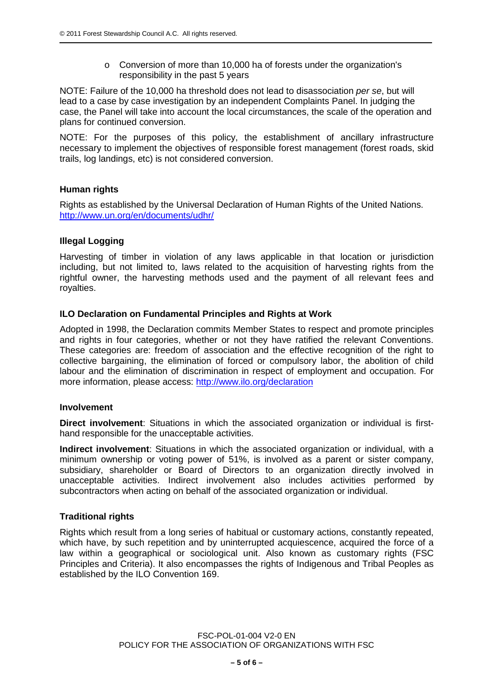o Conversion of more than 10,000 ha of forests under the organization's responsibility in the past 5 years

NOTE: Failure of the 10,000 ha threshold does not lead to disassociation per se, but will lead to a case by case investigation by an independent Complaints Panel. In judging the case, the Panel will take into account the local circumstances, the scale of the operation and plans for continued conversion.

NOTE: For the purposes of this policy, the establishment of ancillary infrastructure necessary to implement the objectives of responsible forest management (forest roads, skid trails, log landings, etc) is not considered conversion.

## **Human rights**

Rights as established by the Universal Declaration of Human Rights of the United Nations. http://www.un.org/en/documents/udhr/

## **Illegal Logging**

Harvesting of timber in violation of any laws applicable in that location or jurisdiction including, but not limited to, laws related to the acquisition of harvesting rights from the rightful owner, the harvesting methods used and the payment of all relevant fees and royalties.

## **ILO Declaration on Fundamental Principles and Rights at Work**

Adopted in 1998, the Declaration commits Member States to respect and promote principles and rights in four categories, whether or not they have ratified the relevant Conventions. These categories are: freedom of association and the effective recognition of the right to collective bargaining, the elimination of forced or compulsory labor, the abolition of child labour and the elimination of discrimination in respect of employment and occupation. For more information, please access: http://www.ilo.org/declaration

#### **Involvement**

**Direct involvement**: Situations in which the associated organization or individual is firsthand responsible for the unacceptable activities.

**Indirect involvement**: Situations in which the associated organization or individual, with a minimum ownership or voting power of 51%, is involved as a parent or sister company, subsidiary, shareholder or Board of Directors to an organization directly involved in unacceptable activities. Indirect involvement also includes activities performed by subcontractors when acting on behalf of the associated organization or individual.

#### **Traditional rights**

Rights which result from a long series of habitual or customary actions, constantly repeated, which have, by such repetition and by uninterrupted acquiescence, acquired the force of a law within a geographical or sociological unit. Also known as customary rights (FSC Principles and Criteria). It also encompasses the rights of Indigenous and Tribal Peoples as established by the ILO Convention 169.